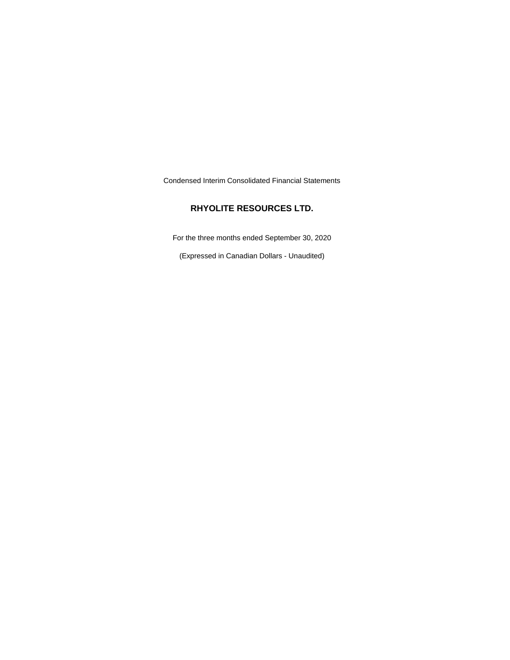Condensed Interim Consolidated Financial Statements

# **RHYOLITE RESOURCES LTD.**

For the three months ended September 30, 2020

(Expressed in Canadian Dollars - Unaudited)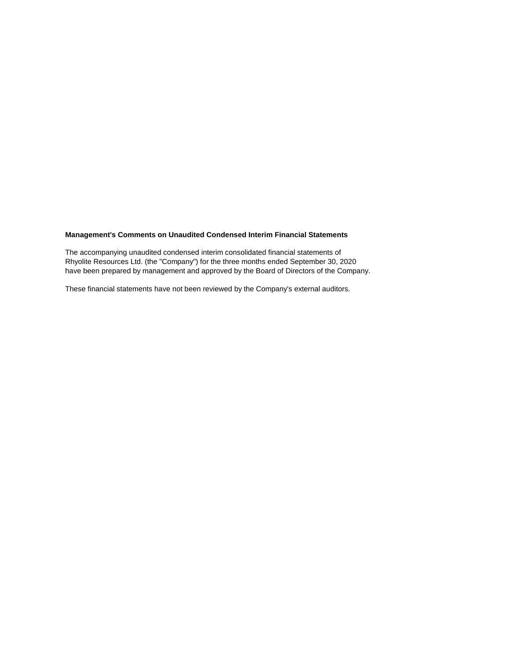# **Management's Comments on Unaudited Condensed Interim Financial Statements**

The accompanying unaudited condensed interim consolidated financial statements of Rhyolite Resources Ltd. (the "Company") for the three months ended September 30, 2020 have been prepared by management and approved by the Board of Directors of the Company.

These financial statements have not been reviewed by the Company's external auditors.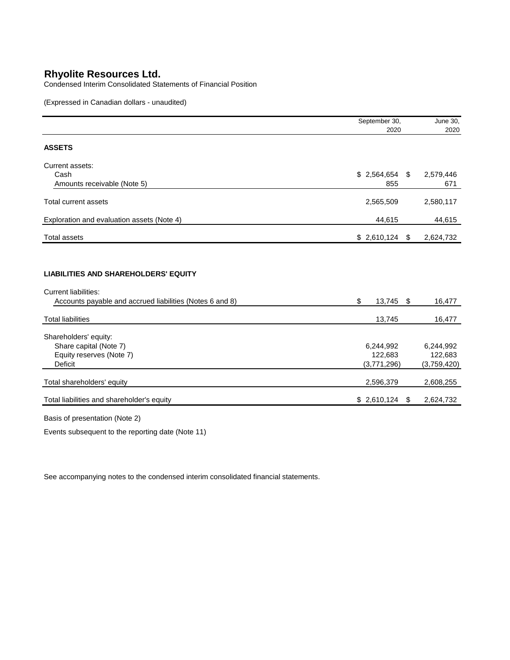Condensed Interim Consolidated Statements of Financial Position

(Expressed in Canadian dollars - unaudited)

|                                                                                                                                        | September 30,                       | June 30, |                                     |
|----------------------------------------------------------------------------------------------------------------------------------------|-------------------------------------|----------|-------------------------------------|
|                                                                                                                                        | 2020                                |          | 2020                                |
| <b>ASSETS</b>                                                                                                                          |                                     |          |                                     |
| Current assets:<br>Cash                                                                                                                | $$2,564,654$ \$                     |          | 2,579,446                           |
| Amounts receivable (Note 5)                                                                                                            | 855                                 |          | 671                                 |
| Total current assets                                                                                                                   | 2,565,509                           |          | 2,580,117                           |
| Exploration and evaluation assets (Note 4)                                                                                             | 44,615                              |          | 44,615                              |
| <b>Total assets</b>                                                                                                                    | \$2,610,124                         | - \$     | 2,624,732                           |
| <b>LIABILITIES AND SHAREHOLDERS' EQUITY</b><br><b>Current liabilities:</b><br>Accounts payable and accrued liabilities (Notes 6 and 8) | \$<br>13,745 \$                     |          | 16,477                              |
| <b>Total liabilities</b>                                                                                                               | 13,745                              |          | 16,477                              |
| Shareholders' equity:<br>Share capital (Note 7)<br>Equity reserves (Note 7)<br><b>Deficit</b>                                          | 6,244,992<br>122,683<br>(3,771,296) |          | 6,244,992<br>122,683<br>(3,759,420) |
| Total shareholders' equity                                                                                                             | 2,596,379                           |          | 2,608,255                           |
| Total liabilities and shareholder's equity                                                                                             | \$2,610,124                         | \$       | 2,624,732                           |

Basis of presentation (Note 2)

Events subsequent to the reporting date (Note 11)

See accompanying notes to the condensed interim consolidated financial statements.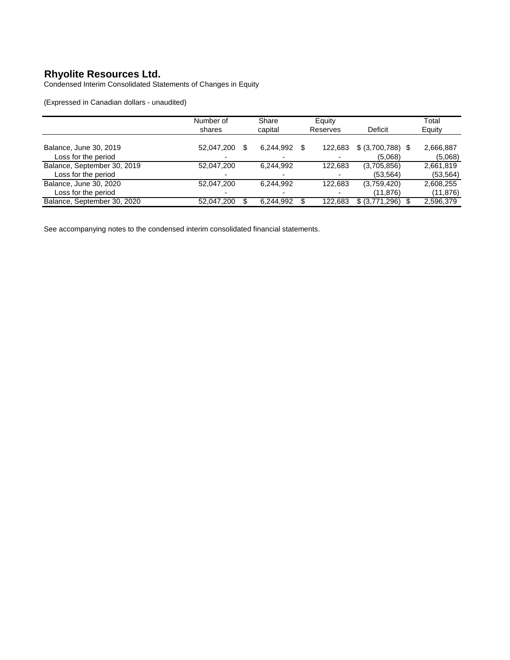Condensed Interim Consolidated Statements of Changes in Equity

(Expressed in Canadian dollars - unaudited)

|                                                    | Number of<br>shares | Share<br>capital      | Equity<br>Reserves | Deficit                       | Total<br>Equity        |
|----------------------------------------------------|---------------------|-----------------------|--------------------|-------------------------------|------------------------|
| Balance, June 30, 2019<br>Loss for the period      | 52,047,200          | 6.244.992<br>\$.<br>- | S<br>122.683       | $$ (3,700,788)$ \;<br>(5.068) | 2,666,887<br>(5,068)   |
| Balance, September 30, 2019<br>Loss for the period | 52,047,200          | 6,244,992             | 122,683            | (3,705,856)<br>(53, 564)      | 2,661,819<br>(53, 564) |
| Balance, June 30, 2020<br>Loss for the period      | 52,047,200          | 6.244.992             | 122.683            | (3,759,420)<br>(11, 876)      | 2,608,255<br>(11, 876) |
| Balance, September 30, 2020                        | 52,047,200          | 6,244,992             | 122.683            | \$ (3,771,296)                | 2,596,379              |

See accompanying notes to the condensed interim consolidated financial statements.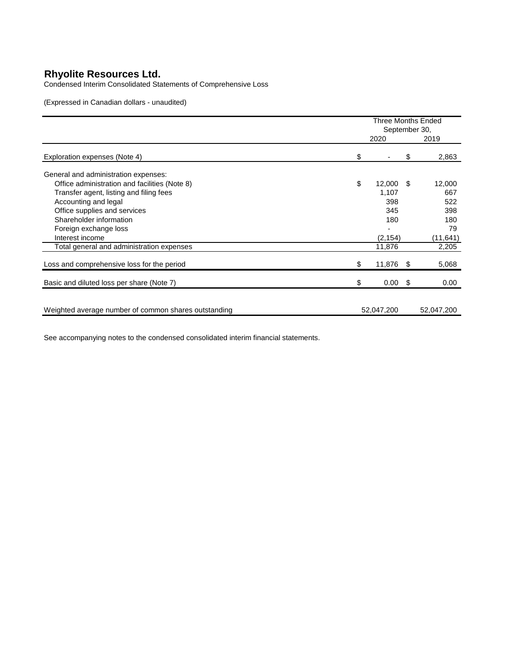Condensed Interim Consolidated Statements of Comprehensive Loss

(Expressed in Canadian dollars - unaudited)

|                                                      | Three Months Ended<br>September 30, |                |      |            |
|------------------------------------------------------|-------------------------------------|----------------|------|------------|
|                                                      |                                     | 2020           |      | 2019       |
| Exploration expenses (Note 4)                        | \$                                  |                | \$   | 2,863      |
| General and administration expenses:                 |                                     |                |      |            |
| Office administration and facilities (Note 8)        | \$                                  | 12,000         | - \$ | 12,000     |
| Transfer agent, listing and filing fees              |                                     | 1,107          |      | 667        |
| Accounting and legal                                 |                                     | 398            |      | 522        |
| Office supplies and services                         |                                     | 345            |      | 398        |
| Shareholder information                              |                                     | 180            |      | 180        |
| Foreign exchange loss                                |                                     |                |      | 79         |
| Interest income                                      |                                     | (2, 154)       |      | (11, 641)  |
| Total general and administration expenses            |                                     | 11,876         |      | 2,205      |
| Loss and comprehensive loss for the period           | \$                                  | 11,876         | - \$ | 5,068      |
| Basic and diluted loss per share (Note 7)            | \$                                  | $0.00\quad$ \$ |      | 0.00       |
|                                                      |                                     |                |      |            |
| Weighted average number of common shares outstanding |                                     | 52,047,200     |      | 52,047,200 |
|                                                      |                                     |                |      |            |

See accompanying notes to the condensed consolidated interim financial statements.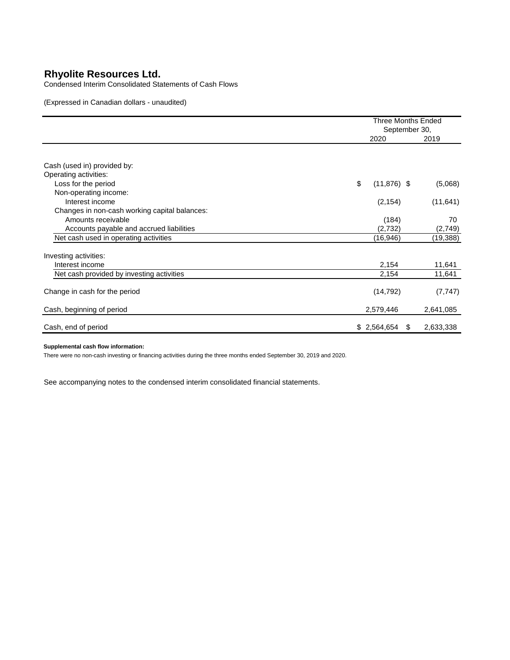Condensed Interim Consolidated Statements of Cash Flows

(Expressed in Canadian dollars - unaudited)

|                                               |                      | <b>Three Months Ended</b><br>September 30, |  |  |
|-----------------------------------------------|----------------------|--------------------------------------------|--|--|
|                                               | 2020                 | 2019                                       |  |  |
|                                               |                      |                                            |  |  |
| Cash (used in) provided by:                   |                      |                                            |  |  |
| Operating activities:                         |                      |                                            |  |  |
| Loss for the period                           | \$<br>$(11, 876)$ \$ | (5,068)                                    |  |  |
| Non-operating income:                         |                      |                                            |  |  |
| Interest income                               | (2, 154)             | (11, 641)                                  |  |  |
| Changes in non-cash working capital balances: |                      |                                            |  |  |
| Amounts receivable                            | (184)                | 70                                         |  |  |
| Accounts payable and accrued liabilities      | (2,732)              | (2,749)                                    |  |  |
| Net cash used in operating activities         | (16,946)             | (19, 388)                                  |  |  |
| Investing activities:                         |                      |                                            |  |  |
| Interest income                               | 2,154                | 11,641                                     |  |  |
| Net cash provided by investing activities     | 2,154                | 11,641                                     |  |  |
| Change in cash for the period                 | (14, 792)            | (7, 747)                                   |  |  |
| Cash, beginning of period                     | 2,579,446            | 2,641,085                                  |  |  |
| Cash, end of period                           | \$2,564,654          | 2,633,338<br>\$.                           |  |  |

#### **Supplemental cash flow information:**

There were no non-cash investing or financing activities during the three months ended September 30, 2019 and 2020.

See accompanying notes to the condensed interim consolidated financial statements.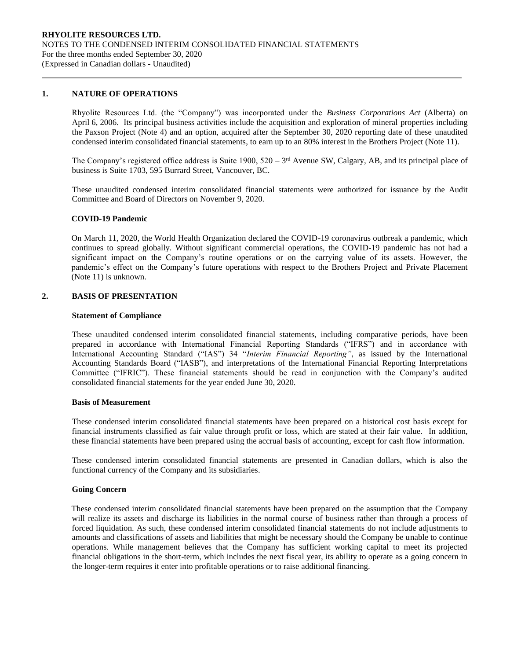#### **1. NATURE OF OPERATIONS**

Rhyolite Resources Ltd. (the "Company") was incorporated under the *Business Corporations Act* (Alberta) on April 6, 2006. Its principal business activities include the acquisition and exploration of mineral properties including the Paxson Project (Note 4) and an option, acquired after the September 30, 2020 reporting date of these unaudited condensed interim consolidated financial statements, to earn up to an 80% interest in the Brothers Project (Note 11).

The Company's registered office address is Suite 1900,  $520 - 3<sup>rd</sup>$  Avenue SW, Calgary, AB, and its principal place of business is Suite 1703, 595 Burrard Street, Vancouver, BC.

These unaudited condensed interim consolidated financial statements were authorized for issuance by the Audit Committee and Board of Directors on November 9, 2020.

#### **COVID-19 Pandemic**

On March 11, 2020, the World Health Organization declared the COVID-19 coronavirus outbreak a pandemic, which continues to spread globally. Without significant commercial operations, the COVID-19 pandemic has not had a significant impact on the Company's routine operations or on the carrying value of its assets. However, the pandemic's effect on the Company's future operations with respect to the Brothers Project and Private Placement (Note 11) is unknown.

# **2. BASIS OF PRESENTATION**

#### **Statement of Compliance**

These unaudited condensed interim consolidated financial statements, including comparative periods, have been prepared in accordance with International Financial Reporting Standards ("IFRS") and in accordance with International Accounting Standard ("IAS") 34 "*Interim Financial Reporting"*, as issued by the International Accounting Standards Board ("IASB"), and interpretations of the International Financial Reporting Interpretations Committee ("IFRIC"). These financial statements should be read in conjunction with the Company's audited consolidated financial statements for the year ended June 30, 2020.

#### **Basis of Measurement**

These condensed interim consolidated financial statements have been prepared on a historical cost basis except for financial instruments classified as fair value through profit or loss, which are stated at their fair value. In addition, these financial statements have been prepared using the accrual basis of accounting, except for cash flow information.

These condensed interim consolidated financial statements are presented in Canadian dollars, which is also the functional currency of the Company and its subsidiaries.

#### **Going Concern**

These condensed interim consolidated financial statements have been prepared on the assumption that the Company will realize its assets and discharge its liabilities in the normal course of business rather than through a process of forced liquidation. As such, these condensed interim consolidated financial statements do not include adjustments to amounts and classifications of assets and liabilities that might be necessary should the Company be unable to continue operations. While management believes that the Company has sufficient working capital to meet its projected financial obligations in the short-term, which includes the next fiscal year, its ability to operate as a going concern in the longer-term requires it enter into profitable operations or to raise additional financing.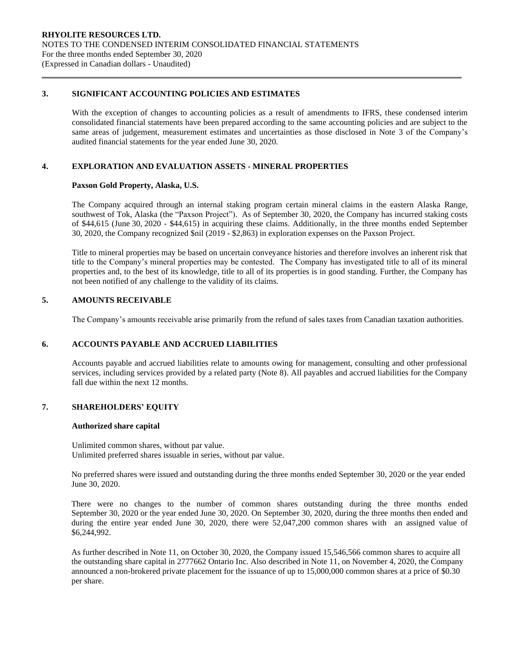# **3. SIGNIFICANT ACCOUNTING POLICIES AND ESTIMATES**

With the exception of changes to accounting policies as a result of amendments to IFRS, these condensed interim consolidated financial statements have been prepared according to the same accounting policies and are subject to the same areas of judgement, measurement estimates and uncertainties as those disclosed in Note 3 of the Company's audited financial statements for the year ended June 30, 2020.

## **4. EXPLORATION AND EVALUATION ASSETS - MINERAL PROPERTIES**

## **Paxson Gold Property, Alaska, U.S.**

The Company acquired through an internal staking program certain mineral claims in the eastern Alaska Range, southwest of Tok, Alaska (the "Paxson Project"). As of September 30, 2020, the Company has incurred staking costs of \$44,615 (June 30, 2020 - \$44,615) in acquiring these claims. Additionally, in the three months ended September 30, 2020, the Company recognized \$nil (2019 - \$2,863) in exploration expenses on the Paxson Project.

Title to mineral properties may be based on uncertain conveyance histories and therefore involves an inherent risk that title to the Company's mineral properties may be contested. The Company has investigated title to all of its mineral properties and, to the best of its knowledge, title to all of its properties is in good standing. Further, the Company has not been notified of any challenge to the validity of its claims.

# **5. AMOUNTS RECEIVABLE**

The Company's amounts receivable arise primarily from the refund of sales taxes from Canadian taxation authorities.

# **6. ACCOUNTS PAYABLE AND ACCRUED LIABILITIES**

Accounts payable and accrued liabilities relate to amounts owing for management, consulting and other professional services, including services provided by a related party (Note 8). All payables and accrued liabilities for the Company fall due within the next 12 months.

# **7. SHAREHOLDERS' EQUITY**

## **Authorized share capital**

Unlimited common shares, without par value. Unlimited preferred shares issuable in series, without par value.

No preferred shares were issued and outstanding during the three months ended September 30, 2020 or the year ended June 30, 2020.

There were no changes to the number of common shares outstanding during the three months ended September 30, 2020 or the year ended June 30, 2020. On September 30, 2020, during the three months then ended and during the entire year ended June 30, 2020, there were  $52,047,200$  common shares with an assigned value of \$6,244,992.

As further described in Note 11, on October 30, 2020, the Company issued 15,546,566 common shares to acquire all the outstanding share capital in 2777662 Ontario Inc. Also described in Note 11, on November 4, 2020, the Company announced a non-brokered private placement for the issuance of up to 15,000,000 common shares at a price of \$0.30 per share.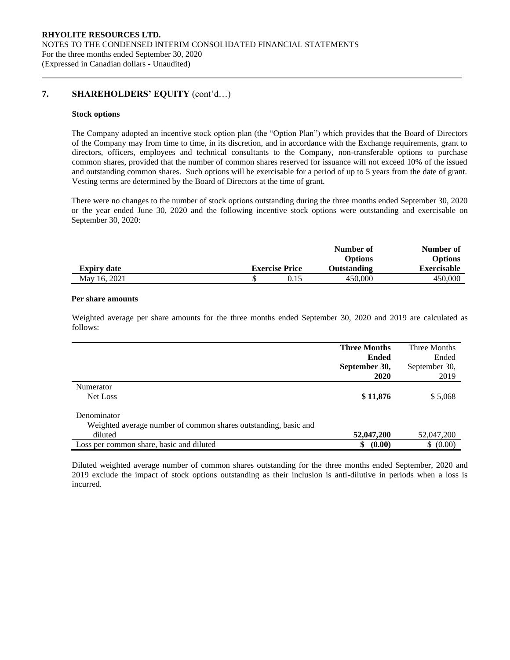# **7. SHAREHOLDERS' EQUITY** (cont'd…)

#### **Stock options**

The Company adopted an incentive stock option plan (the "Option Plan") which provides that the Board of Directors of the Company may from time to time, in its discretion, and in accordance with the Exchange requirements, grant to directors, officers, employees and technical consultants to the Company, non-transferable options to purchase common shares, provided that the number of common shares reserved for issuance will not exceed 10% of the issued and outstanding common shares. Such options will be exercisable for a period of up to 5 years from the date of grant. Vesting terms are determined by the Board of Directors at the time of grant.

There were no changes to the number of stock options outstanding during the three months ended September 30, 2020 or the year ended June 30, 2020 and the following incentive stock options were outstanding and exercisable on September 30, 2020:

|                    |                       | Number of      | Number of      |
|--------------------|-----------------------|----------------|----------------|
|                    |                       | <b>Options</b> | <b>Options</b> |
| <b>Expiry date</b> | <b>Exercise Price</b> | Outstanding    | Exercisable    |
| May 16, 2021       | 0.15                  | 450,000        | 450,000        |

#### **Per share amounts**

Weighted average per share amounts for the three months ended September 30, 2020 and 2019 are calculated as follows:

|                                                                 | <b>Three Months</b> | Three Months  |
|-----------------------------------------------------------------|---------------------|---------------|
|                                                                 | <b>Ended</b>        | Ended         |
|                                                                 | September 30,       | September 30, |
|                                                                 | 2020                | 2019          |
| Numerator                                                       |                     |               |
| Net Loss                                                        | \$11,876            | \$5,068       |
| Denominator                                                     |                     |               |
| Weighted average number of common shares outstanding, basic and |                     |               |
| diluted                                                         | 52,047,200          | 52,047,200    |
| Loss per common share, basic and diluted                        | (0.00)<br>\$        | (0.00)<br>\$  |

Diluted weighted average number of common shares outstanding for the three months ended September, 2020 and 2019 exclude the impact of stock options outstanding as their inclusion is anti-dilutive in periods when a loss is incurred.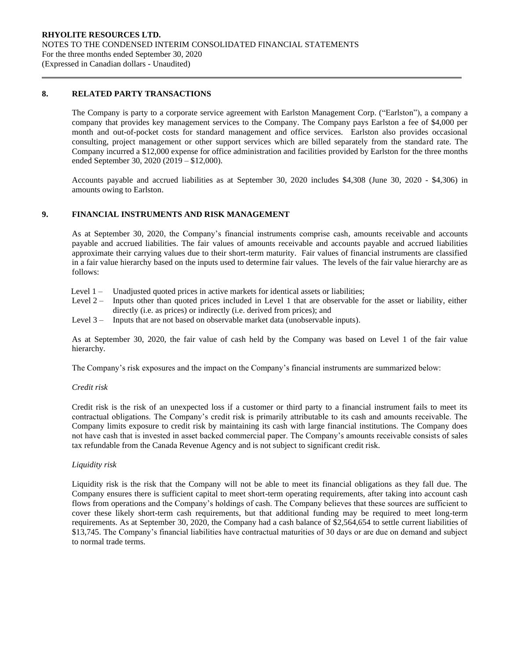## **8. RELATED PARTY TRANSACTIONS**

The Company is party to a corporate service agreement with Earlston Management Corp. ("Earlston"), a company a company that provides key management services to the Company. The Company pays Earlston a fee of \$4,000 per month and out-of-pocket costs for standard management and office services. Earlston also provides occasional consulting, project management or other support services which are billed separately from the standard rate. The Company incurred a \$12,000 expense for office administration and facilities provided by Earlston for the three months ended September 30, 2020 (2019 – \$12,000).

Accounts payable and accrued liabilities as at September 30, 2020 includes \$4,308 (June 30, 2020 - \$4,306) in amounts owing to Earlston.

# **9. FINANCIAL INSTRUMENTS AND RISK MANAGEMENT**

As at September 30, 2020, the Company's financial instruments comprise cash, amounts receivable and accounts payable and accrued liabilities. The fair values of amounts receivable and accounts payable and accrued liabilities approximate their carrying values due to their short-term maturity. Fair values of financial instruments are classified in a fair value hierarchy based on the inputs used to determine fair values. The levels of the fair value hierarchy are as follows:

- Level 1 Unadjusted quoted prices in active markets for identical assets or liabilities;
- Level 2 Inputs other than quoted prices included in Level 1 that are observable for the asset or liability, either directly (i.e. as prices) or indirectly (i.e. derived from prices); and
- Level 3 Inputs that are not based on observable market data (unobservable inputs).

As at September 30, 2020, the fair value of cash held by the Company was based on Level 1 of the fair value hierarchy.

The Company's risk exposures and the impact on the Company's financial instruments are summarized below:

## *Credit risk*

Credit risk is the risk of an unexpected loss if a customer or third party to a financial instrument fails to meet its contractual obligations. The Company's credit risk is primarily attributable to its cash and amounts receivable. The Company limits exposure to credit risk by maintaining its cash with large financial institutions. The Company does not have cash that is invested in asset backed commercial paper. The Company's amounts receivable consists of sales tax refundable from the Canada Revenue Agency and is not subject to significant credit risk.

## *Liquidity risk*

Liquidity risk is the risk that the Company will not be able to meet its financial obligations as they fall due. The Company ensures there is sufficient capital to meet short-term operating requirements, after taking into account cash flows from operations and the Company's holdings of cash. The Company believes that these sources are sufficient to cover these likely short-term cash requirements, but that additional funding may be required to meet long-term requirements. As at September 30, 2020, the Company had a cash balance of \$2,564,654 to settle current liabilities of \$13,745. The Company's financial liabilities have contractual maturities of 30 days or are due on demand and subject to normal trade terms.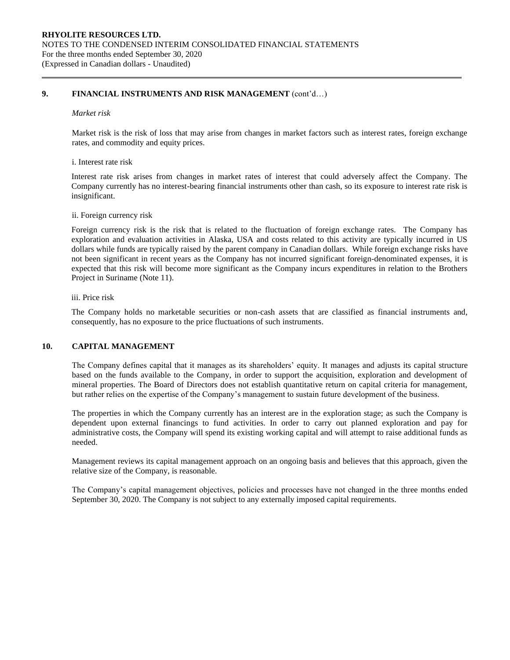# **9. FINANCIAL INSTRUMENTS AND RISK MANAGEMENT** (cont'd…)

#### *Market risk*

Market risk is the risk of loss that may arise from changes in market factors such as interest rates, foreign exchange rates, and commodity and equity prices.

#### i. Interest rate risk

Interest rate risk arises from changes in market rates of interest that could adversely affect the Company. The Company currently has no interest-bearing financial instruments other than cash, so its exposure to interest rate risk is insignificant.

#### ii. Foreign currency risk

Foreign currency risk is the risk that is related to the fluctuation of foreign exchange rates. The Company has exploration and evaluation activities in Alaska, USA and costs related to this activity are typically incurred in US dollars while funds are typically raised by the parent company in Canadian dollars. While foreign exchange risks have not been significant in recent years as the Company has not incurred significant foreign-denominated expenses, it is expected that this risk will become more significant as the Company incurs expenditures in relation to the Brothers Project in Suriname (Note 11).

## iii. Price risk

The Company holds no marketable securities or non-cash assets that are classified as financial instruments and, consequently, has no exposure to the price fluctuations of such instruments.

## **10. CAPITAL MANAGEMENT**

The Company defines capital that it manages as its shareholders' equity. It manages and adjusts its capital structure based on the funds available to the Company, in order to support the acquisition, exploration and development of mineral properties. The Board of Directors does not establish quantitative return on capital criteria for management, but rather relies on the expertise of the Company's management to sustain future development of the business.

The properties in which the Company currently has an interest are in the exploration stage; as such the Company is dependent upon external financings to fund activities. In order to carry out planned exploration and pay for administrative costs, the Company will spend its existing working capital and will attempt to raise additional funds as needed.

Management reviews its capital management approach on an ongoing basis and believes that this approach, given the relative size of the Company, is reasonable.

The Company's capital management objectives, policies and processes have not changed in the three months ended September 30, 2020. The Company is not subject to any externally imposed capital requirements.